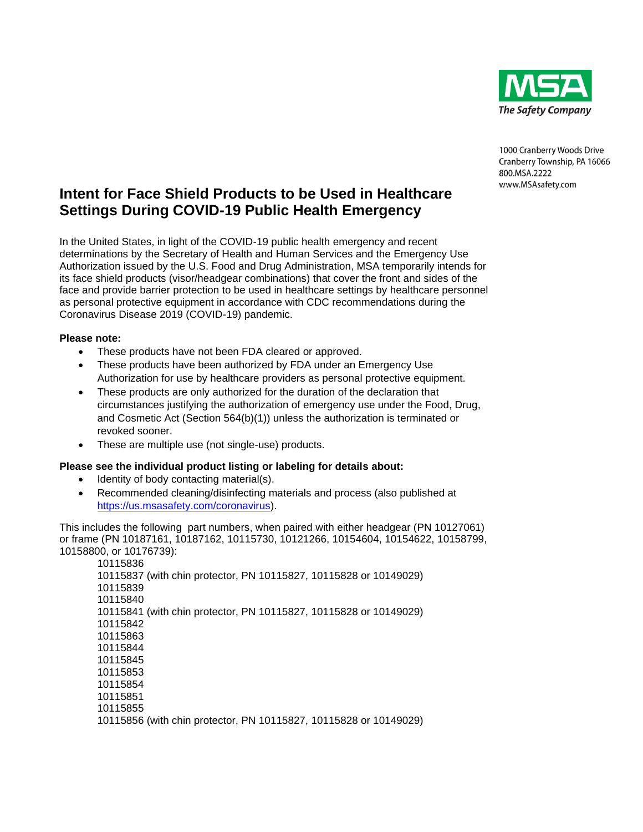

1000 Cranberry Woods Drive Cranberry Township, PA 16066 800.MSA.2222 www.MSAsafety.com

## **Intent for Face Shield Products to be Used in Healthcare Settings During COVID-19 Public Health Emergency**

In the United States, in light of the COVID-19 public health emergency and recent determinations by the Secretary of Health and Human Services and the Emergency Use Authorization issued by the U.S. Food and Drug Administration, MSA temporarily intends for its face shield products (visor/headgear combinations) that cover the front and sides of the face and provide barrier protection to be used in healthcare settings by healthcare personnel as personal protective equipment in accordance with CDC recommendations during the Coronavirus Disease 2019 (COVID-19) pandemic.

## **Please note:**

- These products have not been FDA cleared or approved.
- These products have been authorized by FDA under an Emergency Use Authorization for use by healthcare providers as personal protective equipment.
- These products are only authorized for the duration of the declaration that circumstances justifying the authorization of emergency use under the Food, Drug, and Cosmetic Act (Section 564(b)(1)) unless the authorization is terminated or revoked sooner.
- These are multiple use (not single-use) products.

## **Please see the individual product listing or labeling for details about:**

- Identity of body contacting material(s).
- Recommended cleaning/disinfecting materials and process (also published at [https://us.msasafety.com/coronavirus\)](https://us.msasafety.com/coronavirus).

This includes the following part numbers, when paired with either headgear (PN 10127061) or frame (PN 10187161, 10187162, 10115730, 10121266, 10154604, 10154622, 10158799, 10158800, or 10176739):

10115836 10115837 (with chin protector, PN 10115827, 10115828 or 10149029) 10115839 10115840 10115841 (with chin protector, PN 10115827, 10115828 or 10149029) 10115842 10115863 10115844 10115845 10115853 10115854 10115851 10115855 10115856 (with chin protector, PN 10115827, 10115828 or 10149029)